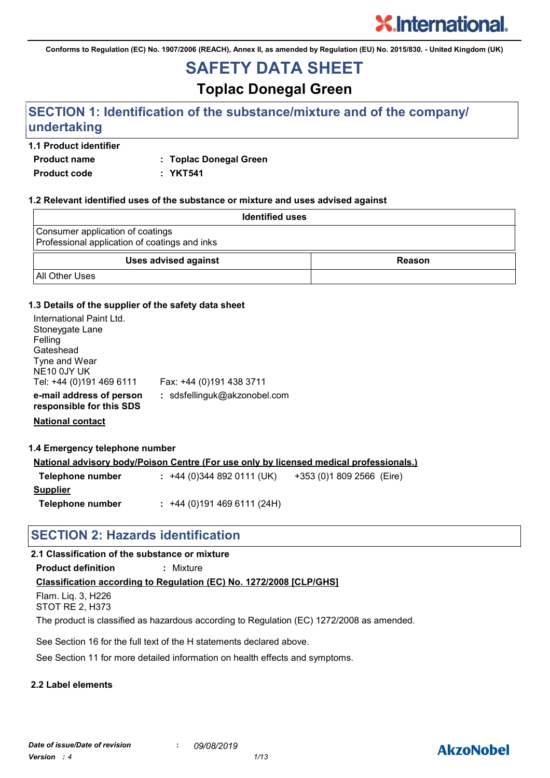**Conforms to Regulation (EC) No. 1907/2006 (REACH), Annex II, as amended by Regulation (EU) No. 2015/830. - United Kingdom (UK)**

# **SAFETY DATA SHEET**

**Toplac Donegal Green**

# **SECTION 1: Identification of the substance/mixture and of the company/ undertaking**

## **1.1 Product identifier**

**Product name : Toplac Donegal Green**

**Product code : YKT541**

#### **1.2 Relevant identified uses of the substance or mixture and uses advised against**

| <b>Identified uses</b>                                                            |               |
|-----------------------------------------------------------------------------------|---------------|
| Consumer application of coatings<br>Professional application of coatings and inks |               |
| <b>Uses advised against</b>                                                       | <b>Reason</b> |
| <b>All Other Uses</b>                                                             |               |

#### **1.3 Details of the supplier of the safety data sheet**

| International Paint Ltd.<br>Stoneygate Lane<br>Felling<br>Gateshead<br>Tyne and Wear<br>NE <sub>10</sub> 0JY UK<br>Tel: +44 (0)191 469 6111 | Fax: +44 (0)191 438 3711     |
|---------------------------------------------------------------------------------------------------------------------------------------------|------------------------------|
| e-mail address of person<br>responsible for this SDS                                                                                        | : sdsfellinguk@akzonobel.com |

**National contact**

**1.4 Emergency telephone number**

|                  | National advisory body/Poison Centre (For use only by licensed medical professionals.) |                           |
|------------------|----------------------------------------------------------------------------------------|---------------------------|
| Telephone number | $: +44(0)3448920111(UK)$                                                               | +353 (0)1 809 2566 (Eire) |

**Supplier Telephone number :** +44 (0)191 469 6111 (24H)

# **SECTION 2: Hazards identification**

# **2.1 Classification of the substance or mixture**

**Product definition :** Mixture

# **Classification according to Regulation (EC) No. 1272/2008 [CLP/GHS]**

Flam. Liq. 3, H226 STOT RE 2, H373

The product is classified as hazardous according to Regulation (EC) 1272/2008 as amended.

See Section 16 for the full text of the H statements declared above.

See Section 11 for more detailed information on health effects and symptoms.

# **2.2 Label elements**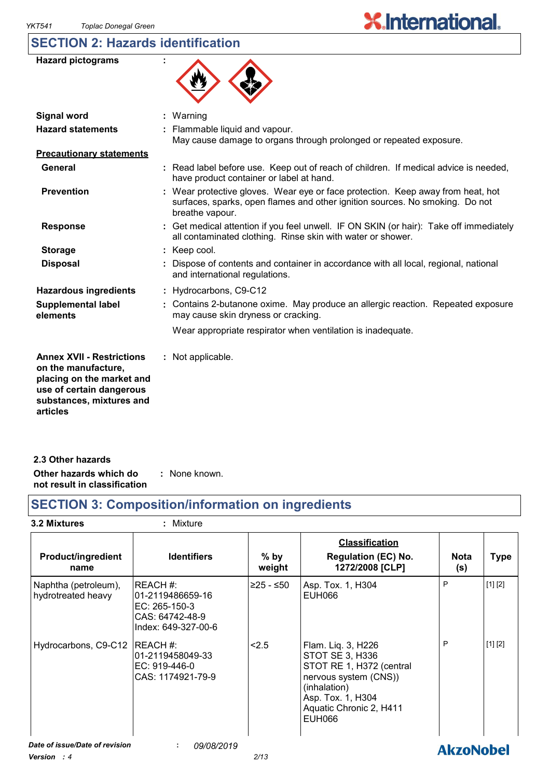# **SECTION 2: Hazards identification**

| <b>Hazard pictograms</b>                                                                                                                                 |                                                                                                                                                                                  |
|----------------------------------------------------------------------------------------------------------------------------------------------------------|----------------------------------------------------------------------------------------------------------------------------------------------------------------------------------|
| <b>Signal word</b>                                                                                                                                       | : Warning                                                                                                                                                                        |
| <b>Hazard statements</b>                                                                                                                                 | : Flammable liquid and vapour.<br>May cause damage to organs through prolonged or repeated exposure.                                                                             |
| <b>Precautionary statements</b>                                                                                                                          |                                                                                                                                                                                  |
| General                                                                                                                                                  | : Read label before use. Keep out of reach of children. If medical advice is needed,<br>have product container or label at hand.                                                 |
| <b>Prevention</b>                                                                                                                                        | Wear protective gloves. Wear eye or face protection. Keep away from heat, hot<br>surfaces, sparks, open flames and other ignition sources. No smoking. Do not<br>breathe vapour. |
| <b>Response</b>                                                                                                                                          | : Get medical attention if you feel unwell. IF ON SKIN (or hair): Take off immediately<br>all contaminated clothing. Rinse skin with water or shower.                            |
| <b>Storage</b>                                                                                                                                           | : Keep cool.                                                                                                                                                                     |
| <b>Disposal</b>                                                                                                                                          | Dispose of contents and container in accordance with all local, regional, national<br>and international regulations.                                                             |
| <b>Hazardous ingredients</b>                                                                                                                             | : Hydrocarbons, C9-C12                                                                                                                                                           |
| <b>Supplemental label</b><br>elements                                                                                                                    | : Contains 2-butanone oxime. May produce an allergic reaction. Repeated exposure<br>may cause skin dryness or cracking.                                                          |
|                                                                                                                                                          | Wear appropriate respirator when ventilation is inadequate.                                                                                                                      |
| <b>Annex XVII - Restrictions</b><br>on the manufacture,<br>placing on the market and<br>use of certain dangerous<br>substances, mixtures and<br>articles | : Not applicable.                                                                                                                                                                |

| 2.3 Other hazards                                      |               |
|--------------------------------------------------------|---------------|
| Other hazards which do<br>not result in classification | : None known. |

# **SECTION 3: Composition/information on ingredients**

# **3.2 Mixtures :** Mixture

| <b>Product/ingredient</b><br>name          | <b>Identifiers</b>                                                                       | $%$ by<br>weight     | <b>Classification</b><br><b>Regulation (EC) No.</b><br>1272/2008 [CLP]                                                                                                      | <b>Nota</b><br>(s) | <b>Type</b> |
|--------------------------------------------|------------------------------------------------------------------------------------------|----------------------|-----------------------------------------------------------------------------------------------------------------------------------------------------------------------------|--------------------|-------------|
| Naphtha (petroleum),<br>hydrotreated heavy | IREACH #:<br>01-2119486659-16<br>EC: 265-150-3<br>CAS: 64742-48-9<br>Index: 649-327-00-6 | ≥25 - ≤50            | Asp. Tox. 1, H304<br>EUH066                                                                                                                                                 | P                  | [1] [2]     |
| Hydrocarbons, C9-C12                       | IREACH #:<br>01-2119458049-33<br>EC: 919-446-0<br>CAS: 1174921-79-9                      | < 2.5                | Flam. Liq. 3, H226<br>STOT SE 3, H336<br>STOT RE 1, H372 (central<br>nervous system (CNS))<br>(inhalation)<br>Asp. Tox. 1, H304<br>Aquatic Chronic 2, H411<br><b>EUH066</b> | P                  | [1] [2]     |
| Date of issue/Date of revision<br>$\cdots$ | 09/08/2019<br>÷.                                                                         | $\sim$ $\sim$ $\sim$ |                                                                                                                                                                             | <b>AkzoNobel</b>   |             |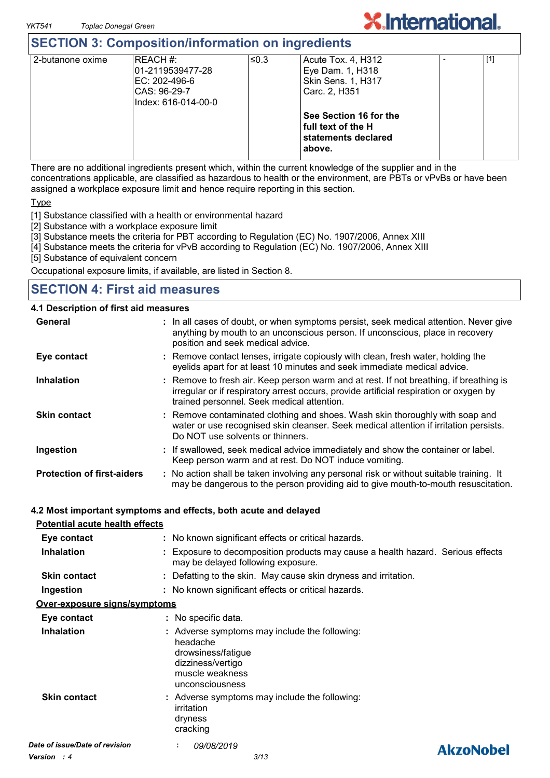# **SECTION 3: Composition/information on ingredients**

| 2-butanone oxime | REACH#:              | ≤0.3 | Acute Tox. 4, H312     | [1] |  |
|------------------|----------------------|------|------------------------|-----|--|
|                  | l01-2119539477-28    |      | Eye Dam. 1, H318       |     |  |
|                  | IEC: 202-496-6       |      | Skin Sens. 1, H317     |     |  |
|                  | CAS: 96-29-7         |      | Carc. 2, H351          |     |  |
|                  | lIndex: 616-014-00-0 |      |                        |     |  |
|                  |                      |      | See Section 16 for the |     |  |
|                  |                      |      | full text of the H     |     |  |
|                  |                      |      | statements declared    |     |  |
|                  |                      |      | above.                 |     |  |
|                  |                      |      |                        |     |  |

There are no additional ingredients present which, within the current knowledge of the supplier and in the concentrations applicable, are classified as hazardous to health or the environment, are PBTs or vPvBs or have been assigned a workplace exposure limit and hence require reporting in this section.

**Type** 

[1] Substance classified with a health or environmental hazard

[2] Substance with a workplace exposure limit

[3] Substance meets the criteria for PBT according to Regulation (EC) No. 1907/2006, Annex XIII

[4] Substance meets the criteria for vPvB according to Regulation (EC) No. 1907/2006, Annex XIII

[5] Substance of equivalent concern

Occupational exposure limits, if available, are listed in Section 8.

# **SECTION 4: First aid measures**

#### **4.1 Description of first aid measures**

| General                           | : In all cases of doubt, or when symptoms persist, seek medical attention. Never give<br>anything by mouth to an unconscious person. If unconscious, place in recovery<br>position and seek medical advice.                    |
|-----------------------------------|--------------------------------------------------------------------------------------------------------------------------------------------------------------------------------------------------------------------------------|
| Eye contact                       | : Remove contact lenses, irrigate copiously with clean, fresh water, holding the<br>eyelids apart for at least 10 minutes and seek immediate medical advice.                                                                   |
| <b>Inhalation</b>                 | : Remove to fresh air. Keep person warm and at rest. If not breathing, if breathing is<br>irregular or if respiratory arrest occurs, provide artificial respiration or oxygen by<br>trained personnel. Seek medical attention. |
| <b>Skin contact</b>               | : Remove contaminated clothing and shoes. Wash skin thoroughly with soap and<br>water or use recognised skin cleanser. Seek medical attention if irritation persists.<br>Do NOT use solvents or thinners.                      |
| Ingestion                         | : If swallowed, seek medical advice immediately and show the container or label.<br>Keep person warm and at rest. Do NOT induce vomiting.                                                                                      |
| <b>Protection of first-aiders</b> | : No action shall be taken involving any personal risk or without suitable training. It<br>may be dangerous to the person providing aid to give mouth-to-mouth resuscitation.                                                  |

#### **4.2 Most important symptoms and effects, both acute and delayed**

#### **Potential acute health effects**

| Eye contact                    | : No known significant effects or critical hazards.                                                                                        |                  |  |
|--------------------------------|--------------------------------------------------------------------------------------------------------------------------------------------|------------------|--|
| <b>Inhalation</b>              | : Exposure to decomposition products may cause a health hazard. Serious effects<br>may be delayed following exposure.                      |                  |  |
| <b>Skin contact</b>            | : Defatting to the skin. May cause skin dryness and irritation.                                                                            |                  |  |
| Ingestion                      | : No known significant effects or critical hazards.                                                                                        |                  |  |
| Over-exposure signs/symptoms   |                                                                                                                                            |                  |  |
| Eye contact                    | : No specific data.                                                                                                                        |                  |  |
| <b>Inhalation</b>              | : Adverse symptoms may include the following:<br>headache<br>drowsiness/fatigue<br>dizziness/vertigo<br>muscle weakness<br>unconsciousness |                  |  |
| <b>Skin contact</b>            | : Adverse symptoms may include the following:<br>irritation<br>dryness<br>cracking                                                         |                  |  |
| Date of issue/Date of revision | 09/08/2019<br>÷.                                                                                                                           | <b>AkzoNobel</b> |  |
| <b>Version</b> : 4             | 3/13                                                                                                                                       |                  |  |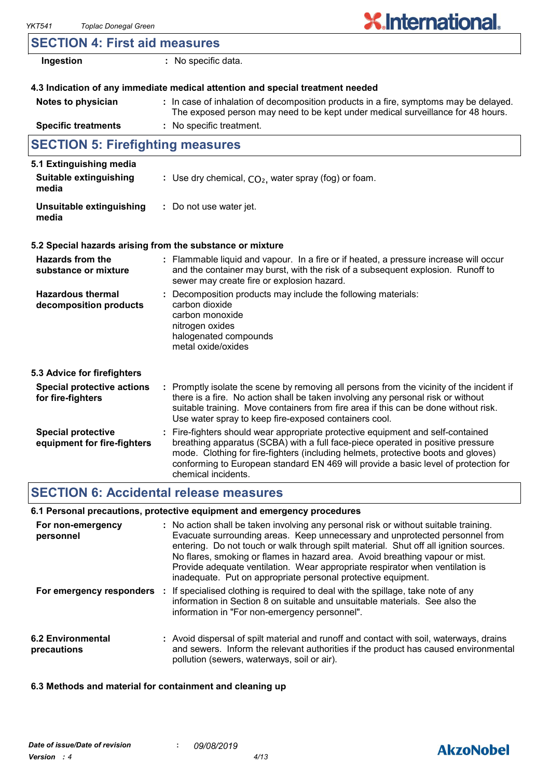| <b>SECTION 4: First aid measures</b>                     |                                                                                                                                                                                                                                                                                                                                                                       |  |
|----------------------------------------------------------|-----------------------------------------------------------------------------------------------------------------------------------------------------------------------------------------------------------------------------------------------------------------------------------------------------------------------------------------------------------------------|--|
| Ingestion                                                | : No specific data.                                                                                                                                                                                                                                                                                                                                                   |  |
|                                                          | 4.3 Indication of any immediate medical attention and special treatment needed                                                                                                                                                                                                                                                                                        |  |
| Notes to physician                                       | : In case of inhalation of decomposition products in a fire, symptoms may be delayed.<br>The exposed person may need to be kept under medical surveillance for 48 hours.                                                                                                                                                                                              |  |
| <b>Specific treatments</b>                               | : No specific treatment.                                                                                                                                                                                                                                                                                                                                              |  |
| <b>SECTION 5: Firefighting measures</b>                  |                                                                                                                                                                                                                                                                                                                                                                       |  |
| 5.1 Extinguishing media                                  |                                                                                                                                                                                                                                                                                                                                                                       |  |
| Suitable extinguishing<br>media                          | : Use dry chemical, $CO2$ , water spray (fog) or foam.                                                                                                                                                                                                                                                                                                                |  |
| Unsuitable extinguishing<br>media                        | : Do not use water jet.                                                                                                                                                                                                                                                                                                                                               |  |
|                                                          | 5.2 Special hazards arising from the substance or mixture                                                                                                                                                                                                                                                                                                             |  |
| <b>Hazards from the</b><br>substance or mixture          | : Flammable liquid and vapour. In a fire or if heated, a pressure increase will occur<br>and the container may burst, with the risk of a subsequent explosion. Runoff to<br>sewer may create fire or explosion hazard.                                                                                                                                                |  |
| <b>Hazardous thermal</b><br>decomposition products       | : Decomposition products may include the following materials:<br>carbon dioxide<br>carbon monoxide<br>nitrogen oxides<br>halogenated compounds<br>metal oxide/oxides                                                                                                                                                                                                  |  |
| 5.3 Advice for firefighters                              |                                                                                                                                                                                                                                                                                                                                                                       |  |
| <b>Special protective actions</b><br>for fire-fighters   | : Promptly isolate the scene by removing all persons from the vicinity of the incident if<br>there is a fire. No action shall be taken involving any personal risk or without<br>suitable training. Move containers from fire area if this can be done without risk.<br>Use water spray to keep fire-exposed containers cool.                                         |  |
| <b>Special protective</b><br>equipment for fire-fighters | : Fire-fighters should wear appropriate protective equipment and self-contained<br>breathing apparatus (SCBA) with a full face-piece operated in positive pressure<br>mode. Clothing for fire-fighters (including helmets, protective boots and gloves)<br>conforming to European standard EN 469 will provide a basic level of protection for<br>chemical incidents. |  |

# **SECTION 6: Accidental release measures**

# **6.1 Personal precautions, protective equipment and emergency procedures**

| For non-emergency<br>personnel   | : No action shall be taken involving any personal risk or without suitable training.<br>Evacuate surrounding areas. Keep unnecessary and unprotected personnel from<br>entering. Do not touch or walk through spilt material. Shut off all ignition sources.<br>No flares, smoking or flames in hazard area. Avoid breathing vapour or mist.<br>Provide adequate ventilation. Wear appropriate respirator when ventilation is<br>inadequate. Put on appropriate personal protective equipment. |
|----------------------------------|------------------------------------------------------------------------------------------------------------------------------------------------------------------------------------------------------------------------------------------------------------------------------------------------------------------------------------------------------------------------------------------------------------------------------------------------------------------------------------------------|
| For emergency responders         | : If specialised clothing is required to deal with the spillage, take note of any<br>information in Section 8 on suitable and unsuitable materials. See also the<br>information in "For non-emergency personnel".                                                                                                                                                                                                                                                                              |
| 6.2 Environmental<br>precautions | : Avoid dispersal of spilt material and runoff and contact with soil, waterways, drains<br>and sewers. Inform the relevant authorities if the product has caused environmental<br>pollution (sewers, waterways, soil or air).                                                                                                                                                                                                                                                                  |

# **6.3 Methods and material for containment and cleaning up**

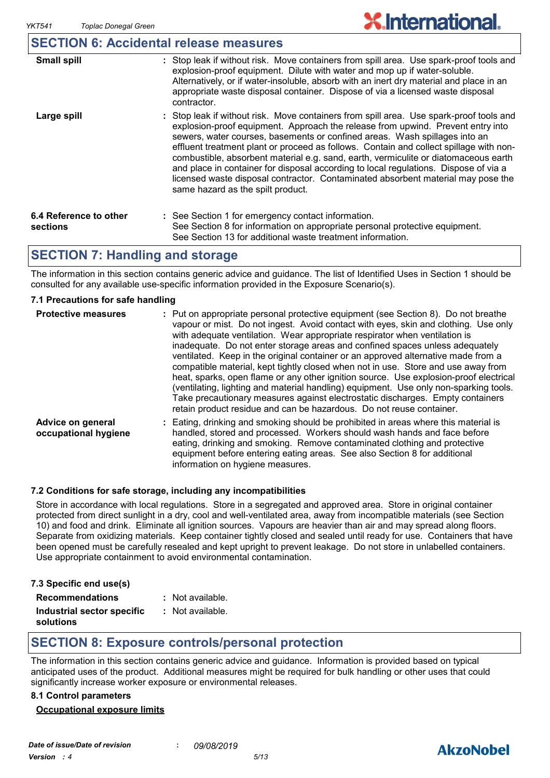# **SECTION 6: Accidental release measures**

| <b>Small spill</b>                 | : Stop leak if without risk. Move containers from spill area. Use spark-proof tools and<br>explosion-proof equipment. Dilute with water and mop up if water-soluble.<br>Alternatively, or if water-insoluble, absorb with an inert dry material and place in an<br>appropriate waste disposal container. Dispose of via a licensed waste disposal<br>contractor.                                                                                                                                                                                                                                                                                           |
|------------------------------------|------------------------------------------------------------------------------------------------------------------------------------------------------------------------------------------------------------------------------------------------------------------------------------------------------------------------------------------------------------------------------------------------------------------------------------------------------------------------------------------------------------------------------------------------------------------------------------------------------------------------------------------------------------|
| Large spill                        | : Stop leak if without risk. Move containers from spill area. Use spark-proof tools and<br>explosion-proof equipment. Approach the release from upwind. Prevent entry into<br>sewers, water courses, basements or confined areas. Wash spillages into an<br>effluent treatment plant or proceed as follows. Contain and collect spillage with non-<br>combustible, absorbent material e.g. sand, earth, vermiculite or diatomaceous earth<br>and place in container for disposal according to local regulations. Dispose of via a<br>licensed waste disposal contractor. Contaminated absorbent material may pose the<br>same hazard as the spilt product. |
| 6.4 Reference to other<br>sections | : See Section 1 for emergency contact information.<br>See Section 8 for information on appropriate personal protective equipment.<br>See Section 13 for additional waste treatment information.                                                                                                                                                                                                                                                                                                                                                                                                                                                            |

# **SECTION 7: Handling and storage**

The information in this section contains generic advice and guidance. The list of Identified Uses in Section 1 should be consulted for any available use-specific information provided in the Exposure Scenario(s).

#### **7.1 Precautions for safe handling**

| <b>Protective measures</b>                | : Put on appropriate personal protective equipment (see Section 8). Do not breathe<br>vapour or mist. Do not ingest. Avoid contact with eyes, skin and clothing. Use only<br>with adequate ventilation. Wear appropriate respirator when ventilation is<br>inadequate. Do not enter storage areas and confined spaces unless adequately<br>ventilated. Keep in the original container or an approved alternative made from a<br>compatible material, kept tightly closed when not in use. Store and use away from<br>heat, sparks, open flame or any other ignition source. Use explosion-proof electrical<br>(ventilating, lighting and material handling) equipment. Use only non-sparking tools.<br>Take precautionary measures against electrostatic discharges. Empty containers<br>retain product residue and can be hazardous. Do not reuse container. |
|-------------------------------------------|---------------------------------------------------------------------------------------------------------------------------------------------------------------------------------------------------------------------------------------------------------------------------------------------------------------------------------------------------------------------------------------------------------------------------------------------------------------------------------------------------------------------------------------------------------------------------------------------------------------------------------------------------------------------------------------------------------------------------------------------------------------------------------------------------------------------------------------------------------------|
| Advice on general<br>occupational hygiene | Eating, drinking and smoking should be prohibited in areas where this material is<br>handled, stored and processed. Workers should wash hands and face before<br>eating, drinking and smoking. Remove contaminated clothing and protective<br>equipment before entering eating areas. See also Section 8 for additional<br>information on hygiene measures.                                                                                                                                                                                                                                                                                                                                                                                                                                                                                                   |

#### **7.2 Conditions for safe storage, including any incompatibilities**

Store in accordance with local regulations. Store in a segregated and approved area. Store in original container protected from direct sunlight in a dry, cool and well-ventilated area, away from incompatible materials (see Section 10) and food and drink. Eliminate all ignition sources. Vapours are heavier than air and may spread along floors. Separate from oxidizing materials. Keep container tightly closed and sealed until ready for use. Containers that have been opened must be carefully resealed and kept upright to prevent leakage. Do not store in unlabelled containers. Use appropriate containment to avoid environmental contamination.

| 7.3 Specific end use(s) |  |
|-------------------------|--|
| <b>Recommendations</b>  |  |

| Not available. |
|----------------|
|----------------|

| Industrial sector specific | : Not available. |
|----------------------------|------------------|
| solutions                  |                  |

# **SECTION 8: Exposure controls/personal protection**

The information in this section contains generic advice and guidance. Information is provided based on typical anticipated uses of the product. Additional measures might be required for bulk handling or other uses that could significantly increase worker exposure or environmental releases.

#### **8.1 Control parameters**

#### **Occupational exposure limits**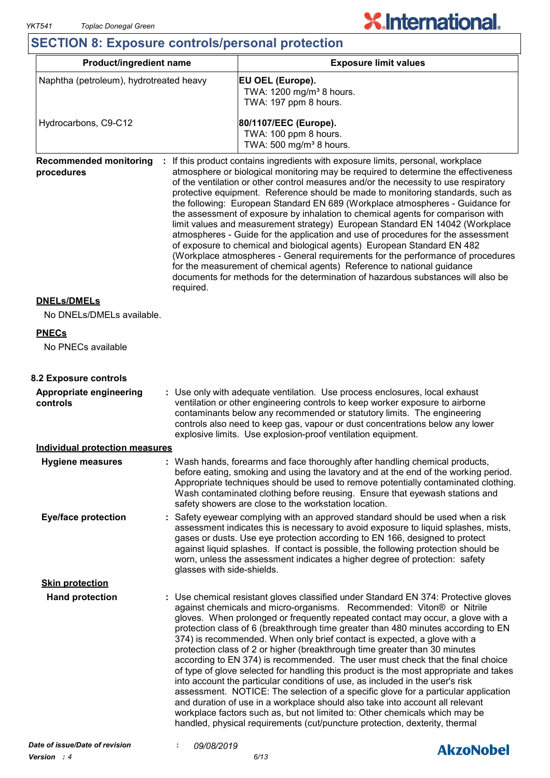$\overline{\mathsf{I}}$ 

# **SECTION 8: Exposure controls/personal protection**

| Product/ingredient name                                  |                                                                                                                                                                                                                                                                                                                                                                                          | <b>Exposure limit values</b>                                                                                                                                                                                                                                                                                                                                                                                                                                                                                                                                                                                                                                                                                                                                                                                                                                                                                                                                                                                                                                                                    |  |  |  |
|----------------------------------------------------------|------------------------------------------------------------------------------------------------------------------------------------------------------------------------------------------------------------------------------------------------------------------------------------------------------------------------------------------------------------------------------------------|-------------------------------------------------------------------------------------------------------------------------------------------------------------------------------------------------------------------------------------------------------------------------------------------------------------------------------------------------------------------------------------------------------------------------------------------------------------------------------------------------------------------------------------------------------------------------------------------------------------------------------------------------------------------------------------------------------------------------------------------------------------------------------------------------------------------------------------------------------------------------------------------------------------------------------------------------------------------------------------------------------------------------------------------------------------------------------------------------|--|--|--|
| Naphtha (petroleum), hydrotreated heavy                  |                                                                                                                                                                                                                                                                                                                                                                                          | <b>EU OEL (Europe).</b><br>TWA: 1200 mg/m <sup>3</sup> 8 hours.<br>TWA: 197 ppm 8 hours.                                                                                                                                                                                                                                                                                                                                                                                                                                                                                                                                                                                                                                                                                                                                                                                                                                                                                                                                                                                                        |  |  |  |
| Hydrocarbons, C9-C12                                     |                                                                                                                                                                                                                                                                                                                                                                                          | 80/1107/EEC (Europe).<br>TWA: 100 ppm 8 hours.<br>TWA: 500 mg/m <sup>3</sup> 8 hours.                                                                                                                                                                                                                                                                                                                                                                                                                                                                                                                                                                                                                                                                                                                                                                                                                                                                                                                                                                                                           |  |  |  |
| <b>Recommended monitoring</b><br>procedures<br>required. |                                                                                                                                                                                                                                                                                                                                                                                          | If this product contains ingredients with exposure limits, personal, workplace<br>atmosphere or biological monitoring may be required to determine the effectiveness<br>of the ventilation or other control measures and/or the necessity to use respiratory<br>protective equipment. Reference should be made to monitoring standards, such as<br>the following: European Standard EN 689 (Workplace atmospheres - Guidance for<br>the assessment of exposure by inhalation to chemical agents for comparison with<br>limit values and measurement strategy) European Standard EN 14042 (Workplace<br>atmospheres - Guide for the application and use of procedures for the assessment<br>of exposure to chemical and biological agents) European Standard EN 482<br>(Workplace atmospheres - General requirements for the performance of procedures<br>for the measurement of chemical agents) Reference to national guidance<br>documents for methods for the determination of hazardous substances will also be                                                                             |  |  |  |
| <b>DNELs/DMELs</b>                                       |                                                                                                                                                                                                                                                                                                                                                                                          |                                                                                                                                                                                                                                                                                                                                                                                                                                                                                                                                                                                                                                                                                                                                                                                                                                                                                                                                                                                                                                                                                                 |  |  |  |
| No DNELs/DMELs available.                                |                                                                                                                                                                                                                                                                                                                                                                                          |                                                                                                                                                                                                                                                                                                                                                                                                                                                                                                                                                                                                                                                                                                                                                                                                                                                                                                                                                                                                                                                                                                 |  |  |  |
| <b>PNECs</b>                                             |                                                                                                                                                                                                                                                                                                                                                                                          |                                                                                                                                                                                                                                                                                                                                                                                                                                                                                                                                                                                                                                                                                                                                                                                                                                                                                                                                                                                                                                                                                                 |  |  |  |
| No PNECs available                                       |                                                                                                                                                                                                                                                                                                                                                                                          |                                                                                                                                                                                                                                                                                                                                                                                                                                                                                                                                                                                                                                                                                                                                                                                                                                                                                                                                                                                                                                                                                                 |  |  |  |
| 8.2 Exposure controls                                    |                                                                                                                                                                                                                                                                                                                                                                                          |                                                                                                                                                                                                                                                                                                                                                                                                                                                                                                                                                                                                                                                                                                                                                                                                                                                                                                                                                                                                                                                                                                 |  |  |  |
| Appropriate engineering<br>controls                      | : Use only with adequate ventilation. Use process enclosures, local exhaust<br>ventilation or other engineering controls to keep worker exposure to airborne<br>contaminants below any recommended or statutory limits. The engineering<br>controls also need to keep gas, vapour or dust concentrations below any lower<br>explosive limits. Use explosion-proof ventilation equipment. |                                                                                                                                                                                                                                                                                                                                                                                                                                                                                                                                                                                                                                                                                                                                                                                                                                                                                                                                                                                                                                                                                                 |  |  |  |
| <b>Individual protection measures</b>                    |                                                                                                                                                                                                                                                                                                                                                                                          |                                                                                                                                                                                                                                                                                                                                                                                                                                                                                                                                                                                                                                                                                                                                                                                                                                                                                                                                                                                                                                                                                                 |  |  |  |
| <b>Hygiene measures</b>                                  |                                                                                                                                                                                                                                                                                                                                                                                          | : Wash hands, forearms and face thoroughly after handling chemical products,<br>before eating, smoking and using the lavatory and at the end of the working period.<br>Appropriate techniques should be used to remove potentially contaminated clothing.<br>Wash contaminated clothing before reusing. Ensure that eyewash stations and<br>safety showers are close to the workstation location.                                                                                                                                                                                                                                                                                                                                                                                                                                                                                                                                                                                                                                                                                               |  |  |  |
| <b>Eye/face protection</b>                               | glasses with side-shields.                                                                                                                                                                                                                                                                                                                                                               | : Safety eyewear complying with an approved standard should be used when a risk<br>assessment indicates this is necessary to avoid exposure to liquid splashes, mists,<br>gases or dusts. Use eye protection according to EN 166, designed to protect<br>against liquid splashes. If contact is possible, the following protection should be<br>worn, unless the assessment indicates a higher degree of protection: safety                                                                                                                                                                                                                                                                                                                                                                                                                                                                                                                                                                                                                                                                     |  |  |  |
| <b>Skin protection</b>                                   |                                                                                                                                                                                                                                                                                                                                                                                          |                                                                                                                                                                                                                                                                                                                                                                                                                                                                                                                                                                                                                                                                                                                                                                                                                                                                                                                                                                                                                                                                                                 |  |  |  |
| <b>Hand protection</b>                                   |                                                                                                                                                                                                                                                                                                                                                                                          | : Use chemical resistant gloves classified under Standard EN 374: Protective gloves<br>against chemicals and micro-organisms. Recommended: Viton® or Nitrile<br>gloves. When prolonged or frequently repeated contact may occur, a glove with a<br>protection class of 6 (breakthrough time greater than 480 minutes according to EN<br>374) is recommended. When only brief contact is expected, a glove with a<br>protection class of 2 or higher (breakthrough time greater than 30 minutes<br>according to EN 374) is recommended. The user must check that the final choice<br>of type of glove selected for handling this product is the most appropriate and takes<br>into account the particular conditions of use, as included in the user's risk<br>assessment. NOTICE: The selection of a specific glove for a particular application<br>and duration of use in a workplace should also take into account all relevant<br>workplace factors such as, but not limited to: Other chemicals which may be<br>handled, physical requirements (cut/puncture protection, dexterity, thermal |  |  |  |

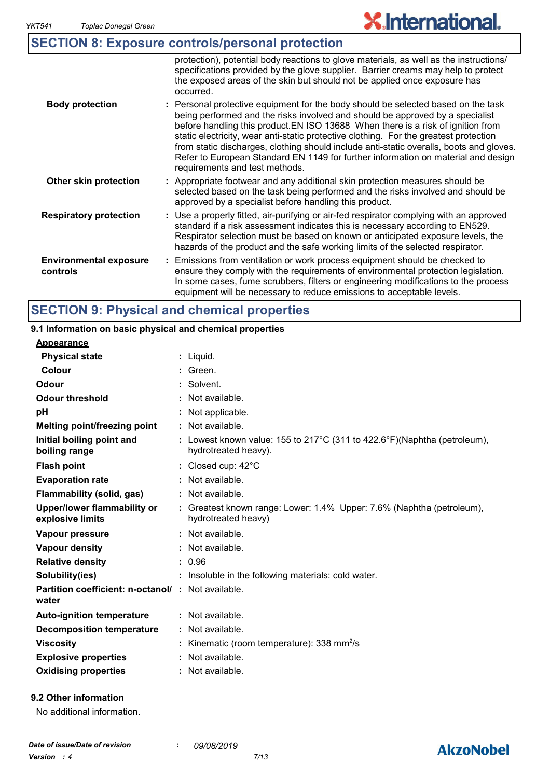|                                           | <b>SECTION 8: Exposure controls/personal protection</b>                                                                                                                                                                                                                                                                                                                                                                                                                                                                                                           |
|-------------------------------------------|-------------------------------------------------------------------------------------------------------------------------------------------------------------------------------------------------------------------------------------------------------------------------------------------------------------------------------------------------------------------------------------------------------------------------------------------------------------------------------------------------------------------------------------------------------------------|
|                                           | protection), potential body reactions to glove materials, as well as the instructions/<br>specifications provided by the glove supplier. Barrier creams may help to protect<br>the exposed areas of the skin but should not be applied once exposure has<br>occurred.                                                                                                                                                                                                                                                                                             |
| <b>Body protection</b>                    | : Personal protective equipment for the body should be selected based on the task<br>being performed and the risks involved and should be approved by a specialist<br>before handling this product. EN ISO 13688 When there is a risk of ignition from<br>static electricity, wear anti-static protective clothing. For the greatest protection<br>from static discharges, clothing should include anti-static overalls, boots and gloves.<br>Refer to European Standard EN 1149 for further information on material and design<br>requirements and test methods. |
| Other skin protection                     | : Appropriate footwear and any additional skin protection measures should be<br>selected based on the task being performed and the risks involved and should be<br>approved by a specialist before handling this product.                                                                                                                                                                                                                                                                                                                                         |
| <b>Respiratory protection</b>             | : Use a properly fitted, air-purifying or air-fed respirator complying with an approved<br>standard if a risk assessment indicates this is necessary according to EN529.<br>Respirator selection must be based on known or anticipated exposure levels, the<br>hazards of the product and the safe working limits of the selected respirator.                                                                                                                                                                                                                     |
| <b>Environmental exposure</b><br>controls | Emissions from ventilation or work process equipment should be checked to<br>ensure they comply with the requirements of environmental protection legislation.<br>In some cases, fume scrubbers, filters or engineering modifications to the process<br>equipment will be necessary to reduce emissions to acceptable levels.                                                                                                                                                                                                                                     |

# **SECTION 9: Physical and chemical properties**

## **Appearance 9.1 Information on basic physical and chemical properties**

| <b>Physical state</b>                                             | $:$ Liquid.                                                                                      |
|-------------------------------------------------------------------|--------------------------------------------------------------------------------------------------|
| Colour                                                            | : Green.                                                                                         |
| <b>Odour</b>                                                      | : Solvent.                                                                                       |
| <b>Odour threshold</b>                                            | : Not available.                                                                                 |
| рH                                                                | : Not applicable.                                                                                |
| <b>Melting point/freezing point</b>                               | : Not available.                                                                                 |
| Initial boiling point and<br>boiling range                        | : Lowest known value: 155 to 217°C (311 to 422.6°F)(Naphtha (petroleum),<br>hydrotreated heavy). |
| <b>Flash point</b>                                                | : Closed cup: $42^{\circ}$ C                                                                     |
| <b>Evaporation rate</b>                                           | : Not available.                                                                                 |
| Flammability (solid, gas)                                         | : Not available.                                                                                 |
| <b>Upper/lower flammability or</b><br>explosive limits            | : Greatest known range: Lower: 1.4% Upper: 7.6% (Naphtha (petroleum),<br>hydrotreated heavy)     |
| Vapour pressure                                                   | : Not available.                                                                                 |
| <b>Vapour density</b>                                             | : Not available.                                                                                 |
| <b>Relative density</b>                                           | : 0.96                                                                                           |
| Solubility(ies)                                                   | : Insoluble in the following materials: cold water.                                              |
| <b>Partition coefficient: n-octanol/: Not available.</b><br>water |                                                                                                  |
| <b>Auto-ignition temperature</b>                                  | : Not available.                                                                                 |
| <b>Decomposition temperature</b>                                  | : Not available.                                                                                 |
| <b>Viscosity</b>                                                  | : Kinematic (room temperature): 338 mm <sup>2</sup> /s                                           |
| <b>Explosive properties</b>                                       | : Not available.                                                                                 |
| <b>Oxidising properties</b>                                       | : Not available.                                                                                 |
|                                                                   |                                                                                                  |

# **9.2 Other information**

| No additional information. |  |
|----------------------------|--|
|                            |  |

# **AkzoNobel**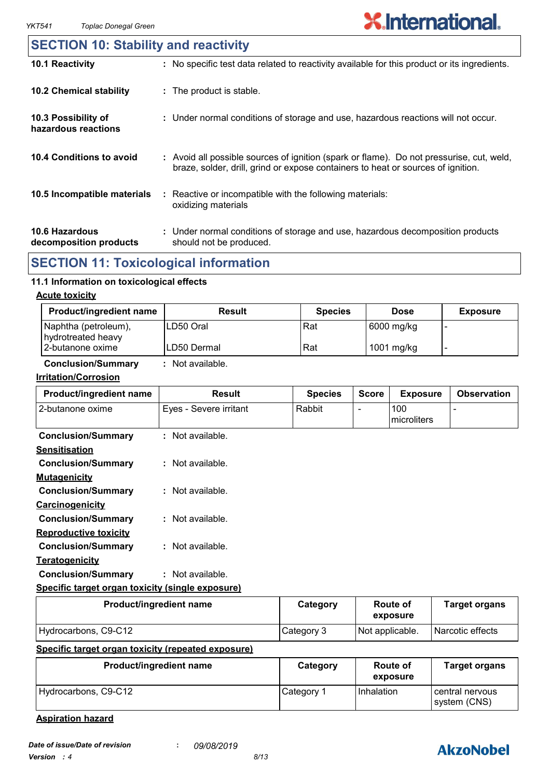# **10.6 Hazardous decomposition products 10.4 Conditions to avoid** : Avoid all possible sources of ignition (spark or flame). Do not pressurise, cut, weld, braze, solder, drill, grind or expose containers to heat or sources of ignition. Under normal conditions of storage and use, hazardous decomposition products **:** should not be produced. **10.2 Chemical stability** Reactive or incompatible with the following materials: oxidizing materials **: 10.5 Incompatible materials : 10.3 Possibility of hazardous reactions :** Under normal conditions of storage and use, hazardous reactions will not occur. **SECTION 10: Stability and reactivity 10.1 Reactivity :** No specific test data related to reactivity available for this product or its ingredients.

# **SECTION 11: Toxicological information**

#### **11.1 Information on toxicological effects**

#### **Acute toxicity**

| <b>Product/ingredient name</b>             | Result       | <b>Species</b> | <b>Dose</b> | <b>Exposure</b> |
|--------------------------------------------|--------------|----------------|-------------|-----------------|
| Naphtha (petroleum),<br>hydrotreated heavy | ILD50 Oral   | Rat            | 6000 mg/kg  |                 |
| l 2-butanone oxime                         | ILD50 Dermal | Rat            | 1001 mg/kg  |                 |

### **Conclusion/Summary :** Not available.

#### **Irritation/Corrosion**

| Product/ingredient name                          | <b>Result</b>          | <b>Species</b> | <b>Score</b>             | <b>Exposure</b>    | <b>Observation</b> |
|--------------------------------------------------|------------------------|----------------|--------------------------|--------------------|--------------------|
| 2-butanone oxime                                 | Eyes - Severe irritant | Rabbit         | $\overline{\phantom{0}}$ | 100<br>microliters |                    |
| <b>Conclusion/Summary</b>                        | $:$ Not available.     |                |                          |                    |                    |
| <b>Sensitisation</b>                             |                        |                |                          |                    |                    |
| <b>Conclusion/Summary</b>                        | $:$ Not available.     |                |                          |                    |                    |
| <b>Mutagenicity</b>                              |                        |                |                          |                    |                    |
| <b>Conclusion/Summary</b>                        | $:$ Not available.     |                |                          |                    |                    |
| Carcinogenicity                                  |                        |                |                          |                    |                    |
| <b>Conclusion/Summary</b>                        | : Not available.       |                |                          |                    |                    |
| <b>Reproductive toxicity</b>                     |                        |                |                          |                    |                    |
| <b>Conclusion/Summary</b>                        | : Not available.       |                |                          |                    |                    |
| <b>Teratogenicity</b>                            |                        |                |                          |                    |                    |
| <b>Conclusion/Summary</b>                        | : Not available.       |                |                          |                    |                    |
| Specific target organ toxicity (single exposure) |                        |                |                          |                    |                    |

| Product/ingredient name                                 | Category   | Route of<br>exposure | <b>Target organs</b> |
|---------------------------------------------------------|------------|----------------------|----------------------|
| Hydrocarbons, C9-C12                                    | Category 3 | Not applicable.      | Narcotic effects     |
| Cusalfie toppet conce to violet from enterial concerned |            |                      |                      |

#### **Specific target organ toxicity (repeated exposure)**

| Product/ingredient name | Category   | <b>Route of</b><br>exposure | <b>Target organs</b>            |
|-------------------------|------------|-----------------------------|---------------------------------|
| Hydrocarbons, C9-C12    | Category 1 | <b>Inhalation</b>           | central nervous<br>system (CNS) |

**Aspiration hazard**

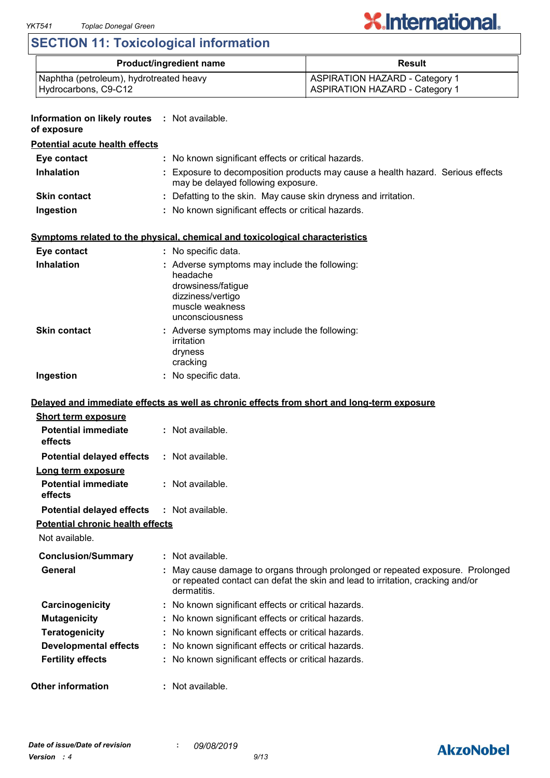# **SECTION 11: Toxicological information**

| <b>Product/ingredient name</b>          | <b>Result</b>                         |
|-----------------------------------------|---------------------------------------|
| Naphtha (petroleum), hydrotreated heavy | <b>ASPIRATION HAZARD - Category 1</b> |
| Hydrocarbons, C9-C12                    | <b>ASPIRATION HAZARD - Category 1</b> |

| <b>Information on likely routes : Not available.</b><br>of exposure |                                                                                                                                                                               |
|---------------------------------------------------------------------|-------------------------------------------------------------------------------------------------------------------------------------------------------------------------------|
| <b>Potential acute health effects</b>                               |                                                                                                                                                                               |
| Eye contact                                                         | : No known significant effects or critical hazards.                                                                                                                           |
| <b>Inhalation</b>                                                   | : Exposure to decomposition products may cause a health hazard. Serious effects<br>may be delayed following exposure.                                                         |
| <b>Skin contact</b>                                                 | : Defatting to the skin. May cause skin dryness and irritation.                                                                                                               |
| Ingestion                                                           | : No known significant effects or critical hazards.                                                                                                                           |
|                                                                     | Symptoms related to the physical, chemical and toxicological characteristics                                                                                                  |
| Eye contact                                                         | : No specific data.                                                                                                                                                           |
| <b>Inhalation</b>                                                   | : Adverse symptoms may include the following:<br>headache<br>drowsiness/fatigue<br>dizziness/vertigo<br>muscle weakness<br>unconsciousness                                    |
| <b>Skin contact</b>                                                 | : Adverse symptoms may include the following:<br>irritation<br>dryness<br>cracking                                                                                            |
| Ingestion                                                           | : No specific data.                                                                                                                                                           |
| <b>Short term exposure</b><br><b>Potential immediate</b>            | Delayed and immediate effects as well as chronic effects from short and long-term exposure<br>: Not available.                                                                |
| effects                                                             |                                                                                                                                                                               |
| <b>Potential delayed effects</b>                                    | : Not available.                                                                                                                                                              |
| Long term exposure<br><b>Potential immediate</b><br>effects         | : Not available.                                                                                                                                                              |
| <b>Potential delayed effects : Not available.</b>                   |                                                                                                                                                                               |
| <u>Potential chronic health effects</u><br>Not available.           |                                                                                                                                                                               |
| <b>Conclusion/Summary</b>                                           | : Not available.                                                                                                                                                              |
| General                                                             | May cause damage to organs through prolonged or repeated exposure. Prolonged<br>or repeated contact can defat the skin and lead to irritation, cracking and/or<br>dermatitis. |
| Carcinogenicity                                                     | : No known significant effects or critical hazards.                                                                                                                           |
| <b>Mutagenicity</b>                                                 | : No known significant effects or critical hazards.                                                                                                                           |
| <b>Teratogenicity</b>                                               | : No known significant effects or critical hazards.                                                                                                                           |
| <b>Developmental effects</b>                                        | : No known significant effects or critical hazards.                                                                                                                           |
| <b>Fertility effects</b>                                            | : No known significant effects or critical hazards.                                                                                                                           |
| <b>Other information</b>                                            | : Not available.                                                                                                                                                              |

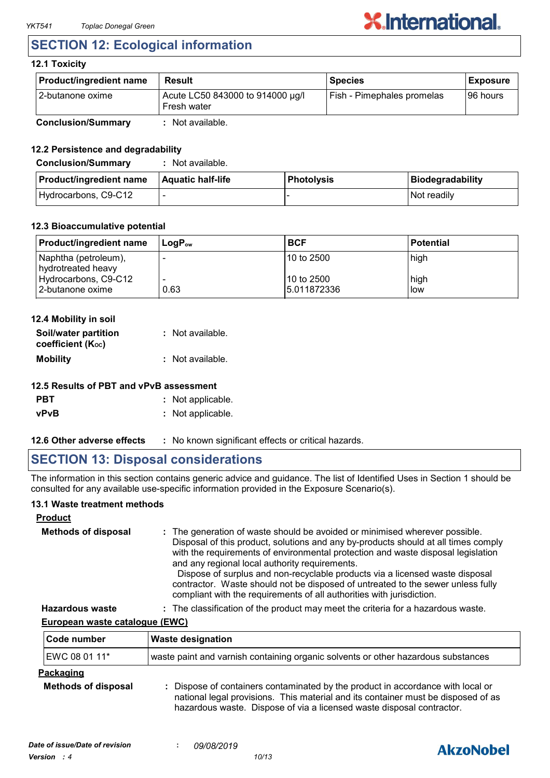# **SECTION 12: Ecological information**

### **12.1 Toxicity**

| <b>Product/ingredient name</b> | <b>Result</b>                                   | <b>Species</b>             | <b>Exposure</b> |
|--------------------------------|-------------------------------------------------|----------------------------|-----------------|
| 12-butanone oxime              | Acute LC50 843000 to 914000 µg/l<br>Fresh water | Fish - Pimephales promelas | I96 hours       |
| <b>Conclusion/Summary</b>      | Not available.                                  |                            |                 |

### **12.2 Persistence and degradability**

| <b>Conclusion/Summary</b>      | Not available.           |                   |                  |
|--------------------------------|--------------------------|-------------------|------------------|
| <b>Product/ingredient name</b> | <b>Aquatic half-life</b> | <b>Photolysis</b> | Biodegradability |
| Hydrocarbons, C9-C12           | $\overline{\phantom{0}}$ |                   | Not readily      |

#### **12.3 Bioaccumulative potential**

| <b>Product/ingredient name</b>             | ⊺LoɑP <sub>ow</sub> | <b>BCF</b>                  | <b>Potential</b> |
|--------------------------------------------|---------------------|-----------------------------|------------------|
| Naphtha (petroleum),<br>hydrotreated heavy |                     | 110 to 2500                 | high             |
| Hydrocarbons, C9-C12<br>2-butanone oxime   | 0.63                | 110 to 2500<br>15.011872336 | high<br>low      |

#### **12.4 Mobility in soil**

| Soil/water partition<br>coefficient $(K_{oc})$ | : Not available. |
|------------------------------------------------|------------------|
|                                                |                  |
| <b>Mobility</b>                                | : Not available. |

### **12.5 Results of PBT and vPvB assessment**

| <b>PBT</b> | : Not applicable. |
|------------|-------------------|
| vPvB       | : Not applicable. |

**12.6 Other adverse effects** : No known significant effects or critical hazards.

# **SECTION 13: Disposal considerations**

The information in this section contains generic advice and guidance. The list of Identified Uses in Section 1 should be consulted for any available use-specific information provided in the Exposure Scenario(s).

#### **13.1 Waste treatment methods**

| <b>Product</b>             |                                                                                                                                                                                                                                                                                                                                                                                                                                                                                                                                                     |
|----------------------------|-----------------------------------------------------------------------------------------------------------------------------------------------------------------------------------------------------------------------------------------------------------------------------------------------------------------------------------------------------------------------------------------------------------------------------------------------------------------------------------------------------------------------------------------------------|
| <b>Methods of disposal</b> | : The generation of waste should be avoided or minimised wherever possible.<br>Disposal of this product, solutions and any by-products should at all times comply<br>with the requirements of environmental protection and waste disposal legislation<br>and any regional local authority requirements.<br>Dispose of surplus and non-recyclable products via a licensed waste disposal<br>contractor. Waste should not be disposed of untreated to the sewer unless fully<br>compliant with the requirements of all authorities with jurisdiction. |
| <b>Hazardous waste</b>     | : The classification of the product may meet the criteria for a hazardous waste.                                                                                                                                                                                                                                                                                                                                                                                                                                                                    |

**European waste catalogue (EWC)**

| ∣Code number                            | <b>Waste designation</b>                                                                                                                                                                                                                      |
|-----------------------------------------|-----------------------------------------------------------------------------------------------------------------------------------------------------------------------------------------------------------------------------------------------|
| EWC 08 01 11*                           | waste paint and varnish containing organic solvents or other hazardous substances                                                                                                                                                             |
| Packaging<br><b>Methods of disposal</b> | : Dispose of containers contaminated by the product in accordance with local or<br>national legal provisions. This material and its container must be disposed of as<br>hazardous waste. Dispose of via a licensed waste disposal contractor. |

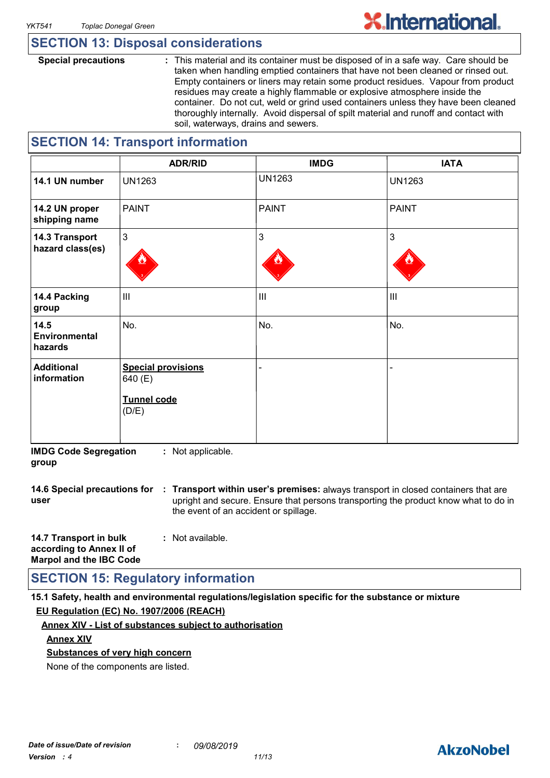# **SECTION 13: Disposal considerations**

**Special precautions :** This material and its container must be disposed of in a safe way. Care should be taken when handling emptied containers that have not been cleaned or rinsed out. Empty containers or liners may retain some product residues. Vapour from product residues may create a highly flammable or explosive atmosphere inside the container. Do not cut, weld or grind used containers unless they have been cleaned thoroughly internally. Avoid dispersal of spilt material and runoff and contact with soil, waterways, drains and sewers.

# **SECTION 14: Transport information**

|                                    | <b>ADR/RID</b>                                                      | <b>IMDG</b>    | <b>IATA</b>    |
|------------------------------------|---------------------------------------------------------------------|----------------|----------------|
| 14.1 UN number                     | <b>UN1263</b>                                                       | <b>UN1263</b>  | <b>UN1263</b>  |
| 14.2 UN proper<br>shipping name    | <b>PAINT</b>                                                        | <b>PAINT</b>   | <b>PAINT</b>   |
| 14.3 Transport<br>hazard class(es) | $\mathbf{3}$                                                        | 3              | $\mathbf{3}$   |
| 14.4 Packing<br>group              | $\mathbf{III}$                                                      | $\mathbf{III}$ | $\mathbf{III}$ |
| 14.5<br>Environmental<br>hazards   | No.                                                                 | No.            | No.            |
| <b>Additional</b><br>information   | <b>Special provisions</b><br>640 (E)<br><b>Tunnel code</b><br>(D/E) |                | -              |

**IMDG Code Segregation group :** Not applicable.

**14.6 Special precautions for : Transport within user's premises:** always transport in closed containers that are **user** upright and secure. Ensure that persons transporting the product know what to do in the event of an accident or spillage.

| 14.7 Transport in bulk         | : Not available. |
|--------------------------------|------------------|
| according to Annex II of       |                  |
| <b>Marpol and the IBC Code</b> |                  |

# **SECTION 15: Regulatory information**

**15.1 Safety, health and environmental regulations/legislation specific for the substance or mixture EU Regulation (EC) No. 1907/2006 (REACH)**

## **Annex XIV - List of substances subject to authorisation**

#### **Annex XIV**

## **Substances of very high concern**

None of the components are listed.

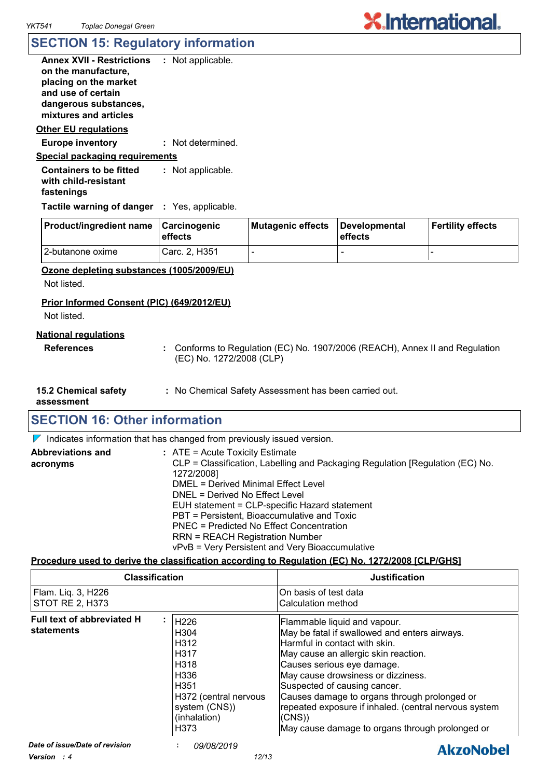# **SECTION 15: Regulatory information**

| <b>Annex XVII - Restrictions</b>                                     | : Not applicable. |  |
|----------------------------------------------------------------------|-------------------|--|
| on the manufacture,                                                  |                   |  |
| placing on the market                                                |                   |  |
| and use of certain                                                   |                   |  |
| dangerous substances,                                                |                   |  |
| mixtures and articles                                                |                   |  |
| Other EU regulations                                                 |                   |  |
| <b>Europe inventory</b>                                              | : Not determined. |  |
| <u>Special packaging requirements</u>                                |                   |  |
| <b>Containers to be fitted</b><br>with child-resistant<br>fastenings | : Not applicable. |  |
| <b>Tactile warning of danger</b> : Yes, applicable.                  |                   |  |
|                                                                      |                   |  |

| <b>Product/ingredient name Carcinogenic</b> | <b>leffects</b> | Mutagenic effects | Developmental<br><b>effects</b> | <b>Fertility effects</b> |
|---------------------------------------------|-----------------|-------------------|---------------------------------|--------------------------|
| I2-butanone oxime                           | Carc. 2. H351   |                   |                                 |                          |

### **Ozone depleting substances (1005/2009/EU)**

Not listed.

#### **Prior Informed Consent (PIC) (649/2012/EU)**

Not listed.

#### **National regulations**

- **References :** Conforms to Regulation (EC) No. 1907/2006 (REACH), Annex II and Regulation (EC) No. 1272/2008 (CLP)
- **15.2 Chemical safety**

**:** No Chemical Safety Assessment has been carried out.

**assessment**

# **SECTION 16: Other information**

 $\nabla$  Indicates information that has changed from previously issued version.

| <b>Abbreviations and</b> | : ATE = Acute Toxicity Estimate                                               |
|--------------------------|-------------------------------------------------------------------------------|
| acronyms                 | CLP = Classification, Labelling and Packaging Regulation [Regulation (EC) No. |
|                          | 1272/2008]                                                                    |
|                          | DMEL = Derived Minimal Effect Level                                           |
|                          | DNEL = Derived No Effect Level                                                |
|                          | EUH statement = CLP-specific Hazard statement                                 |
|                          | PBT = Persistent, Bioaccumulative and Toxic                                   |
|                          | PNEC = Predicted No Effect Concentration                                      |
|                          | <b>RRN = REACH Registration Number</b>                                        |
|                          | vPvB = Very Persistent and Very Bioaccumulative                               |

#### **Procedure used to derive the classification according to Regulation (EC) No. 1272/2008 [CLP/GHS]**

| <b>Classification</b>                        |                                                                                                                                                                                                            | <b>Justification</b>                                                                                                                                                                                                                                                                                                                                                                                                            |
|----------------------------------------------|------------------------------------------------------------------------------------------------------------------------------------------------------------------------------------------------------------|---------------------------------------------------------------------------------------------------------------------------------------------------------------------------------------------------------------------------------------------------------------------------------------------------------------------------------------------------------------------------------------------------------------------------------|
| Flam. Liq. 3, H226<br><b>STOT RE 2, H373</b> |                                                                                                                                                                                                            | On basis of test data<br>Calculation method                                                                                                                                                                                                                                                                                                                                                                                     |
| Full text of abbreviated H<br>statements     | H <sub>226</sub><br>H <sub>304</sub><br>H <sub>312</sub><br>H <sub>317</sub><br>H <sub>318</sub><br>H <sub>336</sub><br>H <sub>351</sub><br>H372 (central nervous<br>system (CNS))<br>(inhalation)<br>H373 | Flammable liquid and vapour.<br>May be fatal if swallowed and enters airways.<br>Harmful in contact with skin.<br>May cause an allergic skin reaction.<br>Causes serious eye damage.<br>May cause drowsiness or dizziness.<br>Suspected of causing cancer.<br>Causes damage to organs through prolonged or<br>repeated exposure if inhaled. (central nervous system<br>(CNS)<br>May cause damage to organs through prolonged or |
| Date of issue/Date of revision<br>$\cdots$   | 09/08/2019<br>10110                                                                                                                                                                                        | <b>AkzoNobel</b>                                                                                                                                                                                                                                                                                                                                                                                                                |